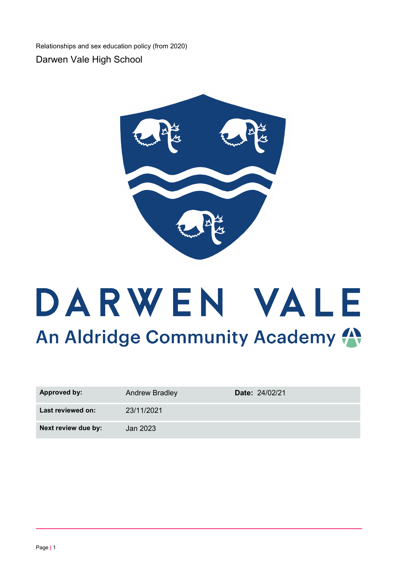Relationships and sex education policy (from 2020)

Darwen Vale High School



# DARWEN VALE An Aldridge Community Academy

| <b>Approved by:</b> | <b>Andrew Bradley</b> | Date: 24/02/21 |
|---------------------|-----------------------|----------------|
| Last reviewed on:   | 23/11/2021            |                |
| Next review due by: | Jan 2023              |                |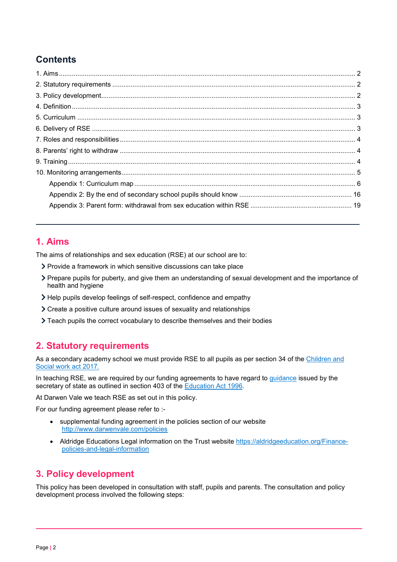# **Contents**

## <span id="page-1-0"></span>**1. Aims**

The aims of relationships and sex education (RSE) at our school are to:

- Provide a framework in which sensitive discussions can take place
- Prepare pupils for puberty, and give them an understanding of sexual development and the importance of health and hygiene
- Help pupils develop feelings of self-respect, confidence and empathy
- Create a positive culture around issues of sexuality and relationships
- Teach pupils the correct vocabulary to describe themselves and their bodies

## <span id="page-1-1"></span>**2. Statutory requirements**

As a secondary academy school we must provide RSE to all pupils as per section 34 of the Children and [Social work act 2017.](http://www.legislation.gov.uk/ukpga/2017/16/section/34/enacted)

In teaching RSE, we are required by our funding agreements to have regard to [guidance](https://www.gov.uk/government/consultations/relationships-and-sex-education-and-health-education) issued by the secretary of state as outlined in section 403 of the [Education Act 1996.](http://www.legislation.gov.uk/ukpga/1996/56/contents)

At Darwen Vale we teach RSE as set out in this policy.

For our funding agreement please refer to :-

- supplemental funding agreement in the policies section of our website <http://www.darwenvale.com/policies>
- Aldridge Educations Legal information on the Trust website [https://aldridgeeducation.org/Finance](https://aldridgeeducation.org/Finance-policies-and-legal-information)[policies-and-legal-information](https://aldridgeeducation.org/Finance-policies-and-legal-information)

## <span id="page-1-2"></span>**3. Policy development**

This policy has been developed in consultation with staff, pupils and parents. The consultation and policy development process involved the following steps: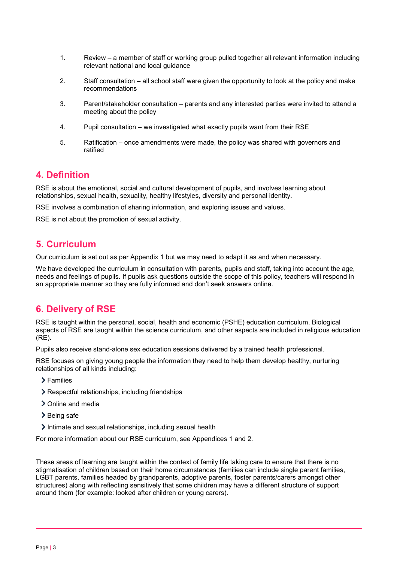- 1. Review a member of staff or working group pulled together all relevant information including relevant national and local guidance
- 2. Staff consultation all school staff were given the opportunity to look at the policy and make recommendations
- 3. Parent/stakeholder consultation parents and any interested parties were invited to attend a meeting about the policy
- 4. Pupil consultation we investigated what exactly pupils want from their RSE
- 5. Ratification once amendments were made, the policy was shared with governors and ratified

## <span id="page-2-0"></span>**4. Definition**

RSE is about the emotional, social and cultural development of pupils, and involves learning about relationships, sexual health, sexuality, healthy lifestyles, diversity and personal identity.

RSE involves a combination of sharing information, and exploring issues and values.

RSE is not about the promotion of sexual activity.

## <span id="page-2-1"></span>**5. Curriculum**

Our curriculum is set out as per Appendix 1 but we may need to adapt it as and when necessary.

We have developed the curriculum in consultation with parents, pupils and staff, taking into account the age, needs and feelings of pupils. If pupils ask questions outside the scope of this policy, teachers will respond in an appropriate manner so they are fully informed and don't seek answers online.

## <span id="page-2-2"></span>**6. Delivery of RSE**

RSE is taught within the personal, social, health and economic (PSHE) education curriculum. Biological aspects of RSE are taught within the science curriculum, and other aspects are included in religious education (RE).

Pupils also receive stand-alone sex education sessions delivered by a trained health professional.

RSE focuses on giving young people the information they need to help them develop healthy, nurturing relationships of all kinds including:

- Families
- Respectful relationships, including friendships
- > Online and media
- > Being safe
- Intimate and sexual relationships, including sexual health

For more information about our RSE curriculum, see Appendices 1 and 2.

These areas of learning are taught within the context of family life taking care to ensure that there is no stigmatisation of children based on their home circumstances (families can include single parent families, LGBT parents, families headed by grandparents, adoptive parents, foster parents/carers amongst other structures) along with reflecting sensitively that some children may have a different structure of support around them (for example: looked after children or young carers).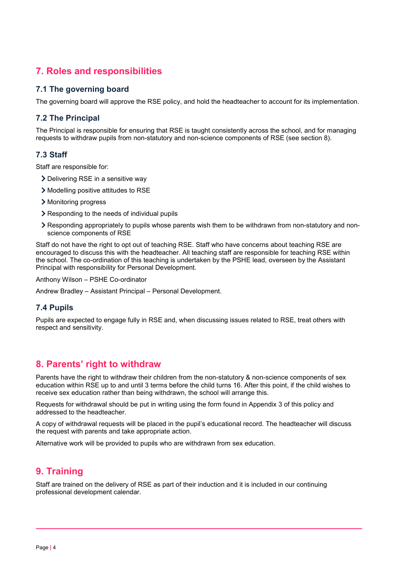## <span id="page-3-0"></span>**7. Roles and responsibilities**

#### **7.1 The governing board**

The governing board will approve the RSE policy, and hold the headteacher to account for its implementation.

#### **7.2 The Principal**

The Principal is responsible for ensuring that RSE is taught consistently across the school, and for managing requests to withdraw pupils from non-statutory and non-science components of RSE (see section 8).

#### **7.3 Staff**

Staff are responsible for:

- > Delivering RSE in a sensitive way
- Modelling positive attitudes to RSE
- > Monitoring progress
- **▶ Responding to the needs of individual pupils**
- Responding appropriately to pupils whose parents wish them to be withdrawn from non-statutory and nonscience components of RSE

Staff do not have the right to opt out of teaching RSE. Staff who have concerns about teaching RSE are encouraged to discuss this with the headteacher. All teaching staff are responsible for teaching RSE within the school. The co-ordination of this teaching is undertaken by the PSHE lead, overseen by the Assistant Principal with responsibility for Personal Development.

Anthony Wilson – PSHE Co-ordinator

Andrew Bradley – Assistant Principal – Personal Development.

#### **7.4 Pupils**

Pupils are expected to engage fully in RSE and, when discussing issues related to RSE, treat others with respect and sensitivity.

### <span id="page-3-1"></span>**8. Parents' right to withdraw**

Parents have the right to withdraw their children from the non-statutory & non-science components of sex education within RSE up to and until 3 terms before the child turns 16. After this point, if the child wishes to receive sex education rather than being withdrawn, the school will arrange this.

Requests for withdrawal should be put in writing using the form found in Appendix 3 of this policy and addressed to the headteacher.

A copy of withdrawal requests will be placed in the pupil's educational record. The headteacher will discuss the request with parents and take appropriate action.

Alternative work will be provided to pupils who are withdrawn from sex education.

## <span id="page-3-2"></span>**9. Training**

Staff are trained on the delivery of RSE as part of their induction and it is included in our continuing professional development calendar.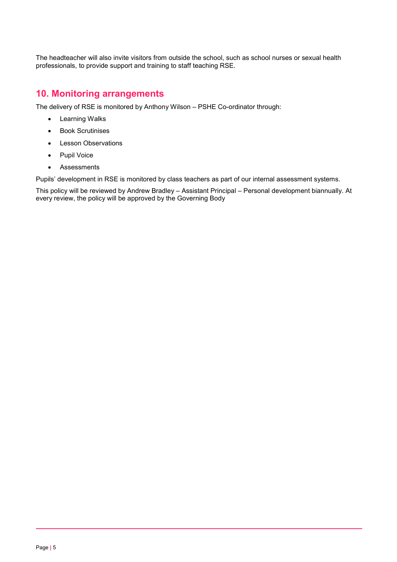The headteacher will also invite visitors from outside the school, such as school nurses or sexual health professionals, to provide support and training to staff teaching RSE.

## <span id="page-4-0"></span>**10. Monitoring arrangements**

The delivery of RSE is monitored by Anthony Wilson – PSHE Co-ordinator through:

- Learning Walks
- Book Scrutinises
- Lesson Observations
- Pupil Voice
- Assessments

Pupils' development in RSE is monitored by class teachers as part of our internal assessment systems.

This policy will be reviewed by Andrew Bradley – Assistant Principal – Personal development biannually. At every review, the policy will be approved by the Governing Body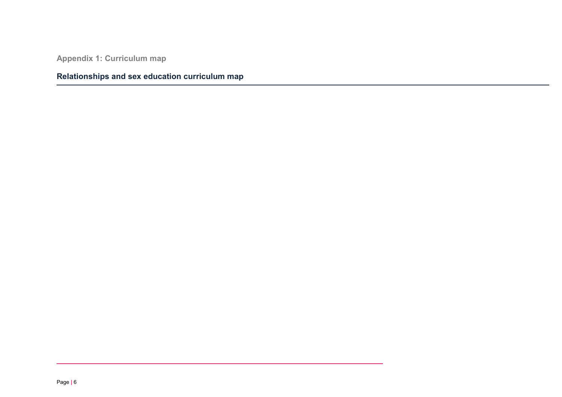**Appendix 1: Curriculum map**

# <span id="page-5-0"></span>**Relationships and sex education curriculum map**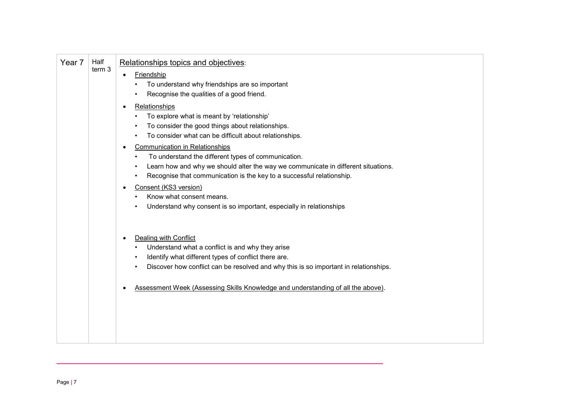| Year <sub>7</sub> | Half<br>term 3 | Relationships topics and objectives:<br><b>Friendship</b><br>$\bullet$<br>To understand why friendships are so important<br>Recognise the qualities of a good friend.<br>Relationships<br>To explore what is meant by 'relationship'<br>To consider the good things about relationships.<br>To consider what can be difficult about relationships.<br><b>Communication in Relationships</b><br>To understand the different types of communication.<br>Learn how and why we should alter the way we communicate in different situations.<br>Recognise that communication is the key to a successful relationship.<br>Consent (KS3 version)<br>Know what consent means.<br>Understand why consent is so important, especially in relationships |
|-------------------|----------------|----------------------------------------------------------------------------------------------------------------------------------------------------------------------------------------------------------------------------------------------------------------------------------------------------------------------------------------------------------------------------------------------------------------------------------------------------------------------------------------------------------------------------------------------------------------------------------------------------------------------------------------------------------------------------------------------------------------------------------------------|
|                   |                | Dealing with Conflict<br>Understand what a conflict is and why they arise<br>Identify what different types of conflict there are.<br>Discover how conflict can be resolved and why this is so important in relationships.<br>Assessment Week (Assessing Skills Knowledge and understanding of all the above).                                                                                                                                                                                                                                                                                                                                                                                                                                |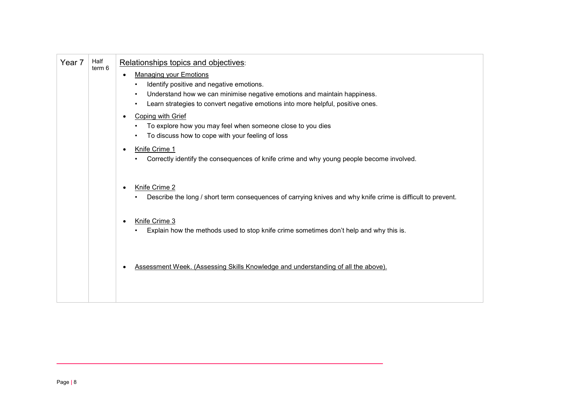| Year 7 | Half<br>term 6 | Relationships topics and objectives:<br><b>Managing your Emotions</b><br>Identify positive and negative emotions.<br>Understand how we can minimise negative emotions and maintain happiness.<br>Learn strategies to convert negative emotions into more helpful, positive ones.<br>Coping with Grief<br>To explore how you may feel when someone close to you dies<br>To discuss how to cope with your feeling of loss<br>Knife Crime 1<br>Correctly identify the consequences of knife crime and why young people become involved. |
|--------|----------------|--------------------------------------------------------------------------------------------------------------------------------------------------------------------------------------------------------------------------------------------------------------------------------------------------------------------------------------------------------------------------------------------------------------------------------------------------------------------------------------------------------------------------------------|
|        |                | Knife Crime 2<br>Describe the long / short term consequences of carrying knives and why knife crime is difficult to prevent.<br>Knife Crime 3                                                                                                                                                                                                                                                                                                                                                                                        |
|        |                | Explain how the methods used to stop knife crime sometimes don't help and why this is.                                                                                                                                                                                                                                                                                                                                                                                                                                               |
|        |                | Assessment Week. (Assessing Skills Knowledge and understanding of all the above).                                                                                                                                                                                                                                                                                                                                                                                                                                                    |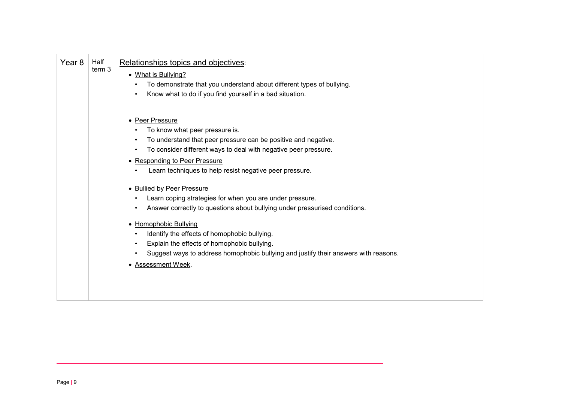| Half<br>Year 8<br>term 3 | Relationships topics and objectives:<br>• What is Bullying?<br>To demonstrate that you understand about different types of bullying.<br>Know what to do if you find yourself in a bad situation.                                                                                                                                                                                                          |
|--------------------------|-----------------------------------------------------------------------------------------------------------------------------------------------------------------------------------------------------------------------------------------------------------------------------------------------------------------------------------------------------------------------------------------------------------|
|                          | • Peer Pressure<br>To know what peer pressure is.<br>To understand that peer pressure can be positive and negative.<br>To consider different ways to deal with negative peer pressure.<br>• Responding to Peer Pressure<br>Learn techniques to help resist negative peer pressure.                                                                                                                        |
|                          | • Bullied by Peer Pressure<br>Learn coping strategies for when you are under pressure.<br>Answer correctly to questions about bullying under pressurised conditions.<br>• Homophobic Bullying<br>Identify the effects of homophobic bullying.<br>Explain the effects of homophobic bullying.<br>Suggest ways to address homophobic bullying and justify their answers with reasons.<br>• Assessment Week. |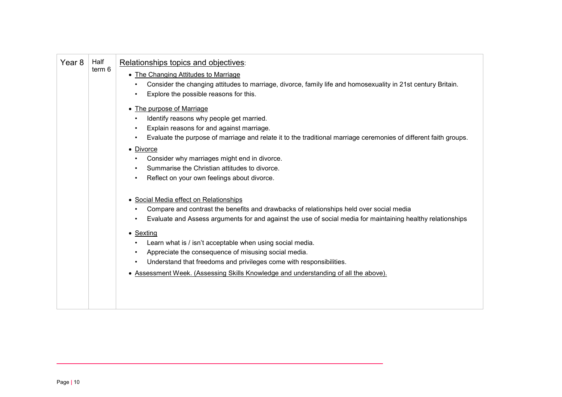| Year <sub>8</sub> | Half<br>term 6 | Relationships topics and objectives:<br>• The Changing Attitudes to Marriage<br>Consider the changing attitudes to marriage, divorce, family life and homosexuality in 21st century Britain.<br>Explore the possible reasons for this.                                                                                                                                                                                                                                                                                                                   |
|-------------------|----------------|----------------------------------------------------------------------------------------------------------------------------------------------------------------------------------------------------------------------------------------------------------------------------------------------------------------------------------------------------------------------------------------------------------------------------------------------------------------------------------------------------------------------------------------------------------|
|                   |                | • The purpose of Marriage<br>Identify reasons why people get married.<br>Explain reasons for and against marriage.<br>Evaluate the purpose of marriage and relate it to the traditional marriage ceremonies of different faith groups.<br>• Divorce<br>Consider why marriages might end in divorce.<br>Summarise the Christian attitudes to divorce.<br>Reflect on your own feelings about divorce.                                                                                                                                                      |
|                   |                | • Social Media effect on Relationships<br>Compare and contrast the benefits and drawbacks of relationships held over social media<br>Evaluate and Assess arguments for and against the use of social media for maintaining healthy relationships<br>$\bullet$ Sexting<br>Learn what is / isn't acceptable when using social media.<br>Appreciate the consequence of misusing social media.<br>Understand that freedoms and privileges come with responsibilities.<br>• Assessment Week. (Assessing Skills Knowledge and understanding of all the above). |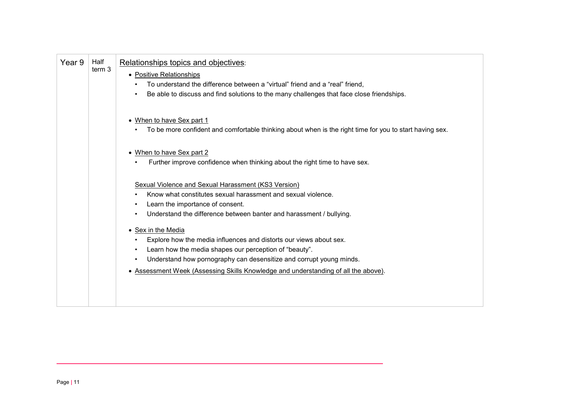| Half<br>Year 9<br>term 3 | Relationships topics and objectives:<br>• Positive Relationships<br>To understand the difference between a "virtual" friend and a "real" friend,<br>Be able to discuss and find solutions to the many challenges that face close friendships.                                                                                                                                                                                                                                                                                                                  |
|--------------------------|----------------------------------------------------------------------------------------------------------------------------------------------------------------------------------------------------------------------------------------------------------------------------------------------------------------------------------------------------------------------------------------------------------------------------------------------------------------------------------------------------------------------------------------------------------------|
|                          | • When to have Sex part 1<br>To be more confident and comfortable thinking about when is the right time for you to start having sex.                                                                                                                                                                                                                                                                                                                                                                                                                           |
|                          | • When to have Sex part 2<br>Further improve confidence when thinking about the right time to have sex.                                                                                                                                                                                                                                                                                                                                                                                                                                                        |
|                          | Sexual Violence and Sexual Harassment (KS3 Version)<br>Know what constitutes sexual harassment and sexual violence.<br>Learn the importance of consent.<br>Understand the difference between banter and harassment / bullying.<br>• Sex in the Media<br>Explore how the media influences and distorts our views about sex.<br>Learn how the media shapes our perception of "beauty".<br>$\bullet$<br>Understand how pornography can desensitize and corrupt young minds.<br>• Assessment Week (Assessing Skills Knowledge and understanding of all the above). |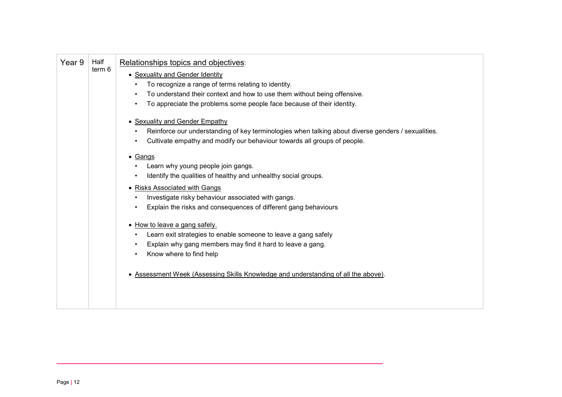| Year 9 | Half<br>term 6 | Relationships topics and objectives:<br>• Sexuality and Gender Identity<br>To recognize a range of terms relating to identity.<br>To understand their context and how to use them without being offensive.<br>To appreciate the problems some people face because of their identity.<br>• Sexuality and Gender Empathy<br>Reinforce our understanding of key terminologies when talking about diverse genders / sexualities.<br>Cultivate empathy and modify our behaviour towards all groups of people.<br>• Gangs<br>Learn why young people join gangs.<br>Identify the qualities of healthy and unhealthy social groups.<br>• Risks Associated with Gangs<br>Investigate risky behaviour associated with gangs. |
|--------|----------------|--------------------------------------------------------------------------------------------------------------------------------------------------------------------------------------------------------------------------------------------------------------------------------------------------------------------------------------------------------------------------------------------------------------------------------------------------------------------------------------------------------------------------------------------------------------------------------------------------------------------------------------------------------------------------------------------------------------------|
|        |                | Explain the risks and consequences of different gang behaviours<br>• How to leave a gang safely.<br>Learn exit strategies to enable someone to leave a gang safely<br>Explain why gang members may find it hard to leave a gang.<br>Know where to find help<br>• Assessment Week (Assessing Skills Knowledge and understanding of all the above).                                                                                                                                                                                                                                                                                                                                                                  |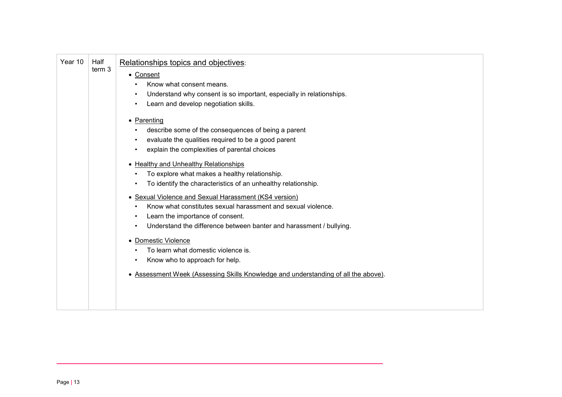| Year 10 | Half<br>term 3 | Relationships topics and objectives:<br>• Consent<br>Know what consent means.<br>Understand why consent is so important, especially in relationships.<br>Learn and develop negotiation skills.<br>• Parenting<br>describe some of the consequences of being a parent<br>evaluate the qualities required to be a good parent<br>explain the complexities of parental choices<br>• Healthy and Unhealthy Relationships<br>To explore what makes a healthy relationship.<br>To identify the characteristics of an unhealthy relationship.<br>• Sexual Violence and Sexual Harassment (KS4 version)<br>Know what constitutes sexual harassment and sexual violence.<br>Learn the importance of consent.<br>Understand the difference between banter and harassment / bullying.<br>• Domestic Violence<br>To learn what domestic violence is.<br>Know who to approach for help.<br>• Assessment Week (Assessing Skills Knowledge and understanding of all the above). |
|---------|----------------|------------------------------------------------------------------------------------------------------------------------------------------------------------------------------------------------------------------------------------------------------------------------------------------------------------------------------------------------------------------------------------------------------------------------------------------------------------------------------------------------------------------------------------------------------------------------------------------------------------------------------------------------------------------------------------------------------------------------------------------------------------------------------------------------------------------------------------------------------------------------------------------------------------------------------------------------------------------|
|---------|----------------|------------------------------------------------------------------------------------------------------------------------------------------------------------------------------------------------------------------------------------------------------------------------------------------------------------------------------------------------------------------------------------------------------------------------------------------------------------------------------------------------------------------------------------------------------------------------------------------------------------------------------------------------------------------------------------------------------------------------------------------------------------------------------------------------------------------------------------------------------------------------------------------------------------------------------------------------------------------|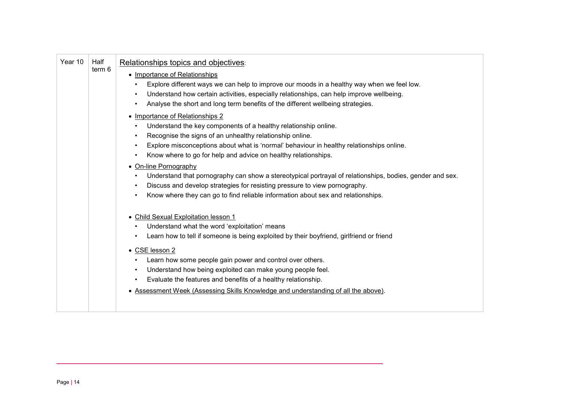| Half<br>term 6 | Relationships topics and objectives:<br>• Importance of Relationships<br>Explore different ways we can help to improve our moods in a healthy way when we feel low.                                                                                                                                                          |
|----------------|------------------------------------------------------------------------------------------------------------------------------------------------------------------------------------------------------------------------------------------------------------------------------------------------------------------------------|
|                | Understand how certain activities, especially relationships, can help improve wellbeing.<br>Analyse the short and long term benefits of the different wellbeing strategies.                                                                                                                                                  |
|                | • Importance of Relationships 2<br>Understand the key components of a healthy relationship online.<br>Recognise the signs of an unhealthy relationship online.<br>Explore misconceptions about what is 'normal' behaviour in healthy relationships online.<br>Know where to go for help and advice on healthy relationships. |
|                | • On-line Pornography<br>Understand that pornography can show a stereotypical portrayal of relationships, bodies, gender and sex.<br>Discuss and develop strategies for resisting pressure to view pornography.<br>$\bullet$<br>Know where they can go to find reliable information about sex and relationships.             |
|                | • Child Sexual Exploitation lesson 1<br>Understand what the word 'exploitation' means<br>$\bullet$<br>Learn how to tell if someone is being exploited by their boyfriend, girlfriend or friend<br>$\bullet$                                                                                                                  |
|                | • CSE lesson 2<br>Learn how some people gain power and control over others.<br>Understand how being exploited can make young people feel.<br>$\bullet$<br>Evaluate the features and benefits of a healthy relationship.<br>• Assessment Week (Assessing Skills Knowledge and understanding of all the above).                |
|                |                                                                                                                                                                                                                                                                                                                              |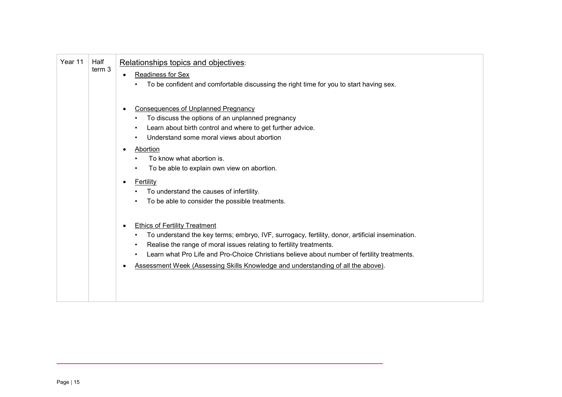| Year 11 | Half<br>term 3 | Relationships topics and objectives:<br><b>Readiness for Sex</b><br>To be confident and comfortable discussing the right time for you to start having sex.                                                                                                                                                                                                                                                     |
|---------|----------------|----------------------------------------------------------------------------------------------------------------------------------------------------------------------------------------------------------------------------------------------------------------------------------------------------------------------------------------------------------------------------------------------------------------|
|         |                | <b>Consequences of Unplanned Pregnancy</b><br>To discuss the options of an unplanned pregnancy<br>Learn about birth control and where to get further advice.<br>Understand some moral views about abortion<br>Abortion<br>To know what abortion is.<br>To be able to explain own view on abortion.<br>Fertility<br>To understand the causes of infertility.<br>To be able to consider the possible treatments. |
|         |                | <b>Ethics of Fertility Treatment</b><br>To understand the key terms; embryo, IVF, surrogacy, fertility, donor, artificial insemination.<br>Realise the range of moral issues relating to fertility treatments.<br>Learn what Pro Life and Pro-Choice Christians believe about number of fertility treatments.<br>Assessment Week (Assessing Skills Knowledge and understanding of all the above).              |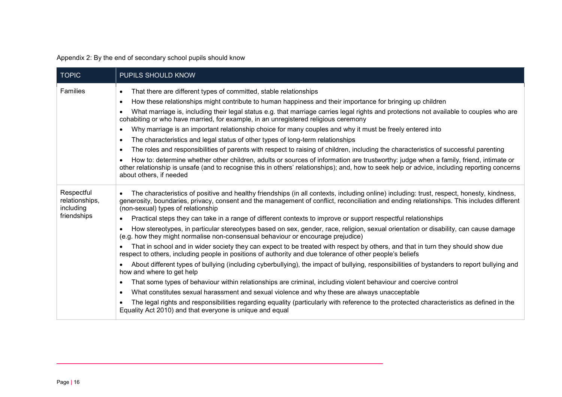#### Appendix 2: By the end of secondary school pupils should know

<span id="page-15-0"></span>

| <b>TOPIC</b>                              | PUPILS SHOULD KNOW                                                                                                                                                                                                                                                                                                           |
|-------------------------------------------|------------------------------------------------------------------------------------------------------------------------------------------------------------------------------------------------------------------------------------------------------------------------------------------------------------------------------|
| Families                                  | That there are different types of committed, stable relationships<br>$\bullet$<br>How these relationships might contribute to human happiness and their importance for bringing up children<br>$\bullet$                                                                                                                     |
|                                           | What marriage is, including their legal status e.g. that marriage carries legal rights and protections not available to couples who are<br>$\bullet$<br>cohabiting or who have married, for example, in an unregistered religious ceremony                                                                                   |
|                                           | Why marriage is an important relationship choice for many couples and why it must be freely entered into<br>$\bullet$                                                                                                                                                                                                        |
|                                           | The characteristics and legal status of other types of long-term relationships<br>$\bullet$                                                                                                                                                                                                                                  |
|                                           | The roles and responsibilities of parents with respect to raising of children, including the characteristics of successful parenting<br>$\bullet$                                                                                                                                                                            |
|                                           | How to: determine whether other children, adults or sources of information are trustworthy: judge when a family, friend, intimate or<br>other relationship is unsafe (and to recognise this in others' relationships); and, how to seek help or advice, including reporting concerns<br>about others, if needed              |
| Respectful<br>relationships,<br>including | The characteristics of positive and healthy friendships (in all contexts, including online) including: trust, respect, honesty, kindness,<br>generosity, boundaries, privacy, consent and the management of conflict, reconciliation and ending relationships. This includes different<br>(non-sexual) types of relationship |
| friendships                               | Practical steps they can take in a range of different contexts to improve or support respectful relationships<br>$\bullet$                                                                                                                                                                                                   |
|                                           | How stereotypes, in particular stereotypes based on sex, gender, race, religion, sexual orientation or disability, can cause damage<br>$\bullet$<br>(e.g. how they might normalise non-consensual behaviour or encourage prejudice)                                                                                          |
|                                           | That in school and in wider society they can expect to be treated with respect by others, and that in turn they should show due<br>respect to others, including people in positions of authority and due tolerance of other people's beliefs                                                                                 |
|                                           | About different types of bullying (including cyberbullying), the impact of bullying, responsibilities of bystanders to report bullying and<br>$\bullet$<br>how and where to get help                                                                                                                                         |
|                                           | That some types of behaviour within relationships are criminal, including violent behaviour and coercive control<br>$\bullet$                                                                                                                                                                                                |
|                                           | What constitutes sexual harassment and sexual violence and why these are always unacceptable<br>$\bullet$                                                                                                                                                                                                                    |
|                                           | The legal rights and responsibilities regarding equality (particularly with reference to the protected characteristics as defined in the<br>$\bullet$<br>Equality Act 2010) and that everyone is unique and equal                                                                                                            |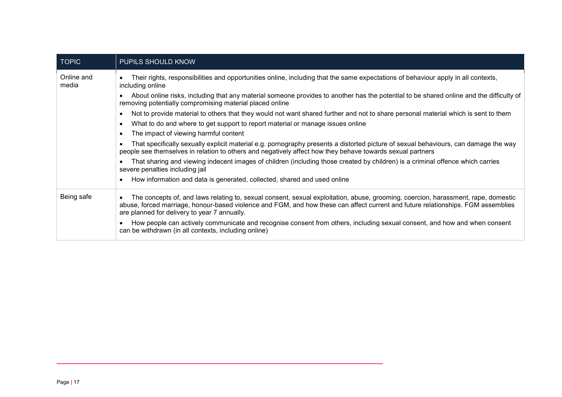| <b>TOPIC</b>        | <b>PUPILS SHOULD KNOW</b>                                                                                                                                                                                                                                                                                                          |
|---------------------|------------------------------------------------------------------------------------------------------------------------------------------------------------------------------------------------------------------------------------------------------------------------------------------------------------------------------------|
| Online and<br>media | Their rights, responsibilities and opportunities online, including that the same expectations of behaviour apply in all contexts,<br>$\bullet$<br>including online                                                                                                                                                                 |
|                     | About online risks, including that any material someone provides to another has the potential to be shared online and the difficulty of<br>removing potentially compromising material placed online                                                                                                                                |
|                     | Not to provide material to others that they would not want shared further and not to share personal material which is sent to them<br>$\bullet$                                                                                                                                                                                    |
|                     | What to do and where to get support to report material or manage issues online<br>$\bullet$                                                                                                                                                                                                                                        |
|                     | The impact of viewing harmful content<br>$\bullet$                                                                                                                                                                                                                                                                                 |
|                     | That specifically sexually explicit material e.g. pornography presents a distorted picture of sexual behaviours, can damage the way<br>$\bullet$<br>people see themselves in relation to others and negatively affect how they behave towards sexual partners                                                                      |
|                     | That sharing and viewing indecent images of children (including those created by children) is a criminal offence which carries<br>severe penalties including jail                                                                                                                                                                  |
|                     | How information and data is generated, collected, shared and used online<br>$\bullet$                                                                                                                                                                                                                                              |
| Being safe          | The concepts of, and laws relating to, sexual consent, sexual exploitation, abuse, grooming, coercion, harassment, rape, domestic<br>$\bullet$<br>abuse, forced marriage, honour-based violence and FGM, and how these can affect current and future relationships. FGM assemblies<br>are planned for delivery to year 7 annually. |
|                     | How people can actively communicate and recognise consent from others, including sexual consent, and how and when consent<br>can be withdrawn (in all contexts, including online)                                                                                                                                                  |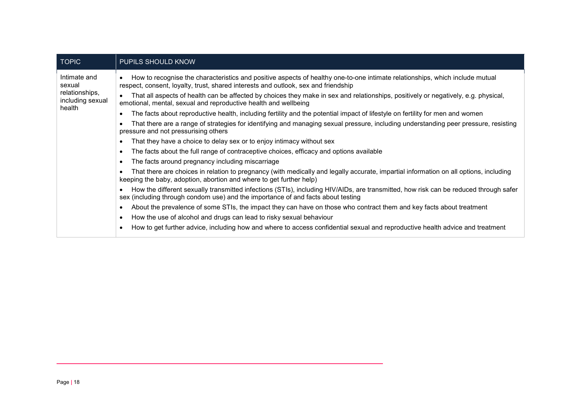| <b>TOPIC</b>                                                           | PUPILS SHOULD KNOW                                                                                                                                                                                                       |  |  |
|------------------------------------------------------------------------|--------------------------------------------------------------------------------------------------------------------------------------------------------------------------------------------------------------------------|--|--|
| Intimate and<br>sexual<br>relationships,<br>including sexual<br>health | How to recognise the characteristics and positive aspects of healthy one-to-one intimate relationships, which include mutual<br>respect, consent, loyalty, trust, shared interests and outlook, sex and friendship       |  |  |
|                                                                        | That all aspects of health can be affected by choices they make in sex and relationships, positively or negatively, e.g. physical,<br>emotional, mental, sexual and reproductive health and wellbeing                    |  |  |
|                                                                        | The facts about reproductive health, including fertility and the potential impact of lifestyle on fertility for men and women                                                                                            |  |  |
|                                                                        | That there are a range of strategies for identifying and managing sexual pressure, including understanding peer pressure, resisting<br>pressure and not pressurising others                                              |  |  |
|                                                                        | That they have a choice to delay sex or to enjoy intimacy without sex                                                                                                                                                    |  |  |
|                                                                        | The facts about the full range of contraceptive choices, efficacy and options available                                                                                                                                  |  |  |
|                                                                        | The facts around pregnancy including miscarriage<br>٠                                                                                                                                                                    |  |  |
|                                                                        | That there are choices in relation to pregnancy (with medically and legally accurate, impartial information on all options, including<br>keeping the baby, adoption, abortion and where to get further help)             |  |  |
|                                                                        | How the different sexually transmitted infections (STIs), including HIV/AIDs, are transmitted, how risk can be reduced through safer<br>sex (including through condom use) and the importance of and facts about testing |  |  |
|                                                                        | About the prevalence of some STIs, the impact they can have on those who contract them and key facts about treatment                                                                                                     |  |  |
|                                                                        | How the use of alcohol and drugs can lead to risky sexual behaviour<br>$\bullet$                                                                                                                                         |  |  |
|                                                                        | How to get further advice, including how and where to access confidential sexual and reproductive health advice and treatment                                                                                            |  |  |